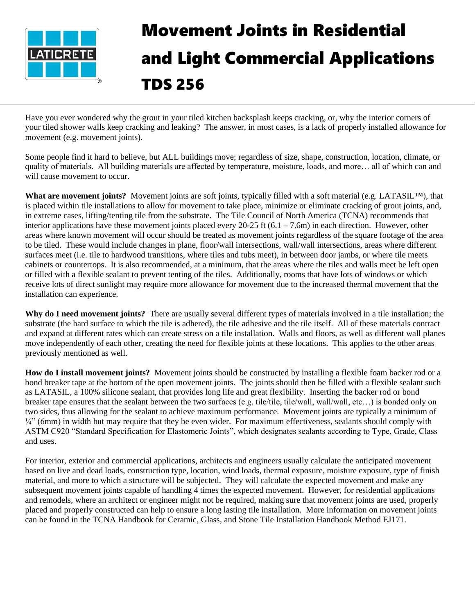

## Movement Joints in Residential and Light Commercial Applications TDS 256

Have you ever wondered why the grout in your tiled kitchen backsplash keeps cracking, or, why the interior corners of your tiled shower walls keep cracking and leaking? The answer, in most cases, is a lack of properly installed allowance for movement (e.g. movement joints).

Some people find it hard to believe, but ALL buildings move; regardless of size, shape, construction, location, climate, or quality of materials. All building materials are affected by temperature, moisture, loads, and more… all of which can and will cause movement to occur.

**What are movement joints?** Movement joints are soft joints, typically filled with a soft material (e.g. LATASIL™), that is placed within tile installations to allow for movement to take place, minimize or eliminate cracking of grout joints, and, in extreme cases, lifting/tenting tile from the substrate. The Tile Council of North America (TCNA) recommends that interior applications have these movement joints placed every  $20-25$  ft  $(6.1 - 7.6m)$  in each direction. However, other areas where known movement will occur should be treated as movement joints regardless of the square footage of the area to be tiled. These would include changes in plane, floor/wall intersections, wall/wall intersections, areas where different surfaces meet (i.e. tile to hardwood transitions, where tiles and tubs meet), in between door jambs, or where tile meets cabinets or countertops. It is also recommended, at a minimum, that the areas where the tiles and walls meet be left open or filled with a flexible sealant to prevent tenting of the tiles. Additionally, rooms that have lots of windows or which receive lots of direct sunlight may require more allowance for movement due to the increased thermal movement that the installation can experience.

**Why do I need movement joints?** There are usually several different types of materials involved in a tile installation; the substrate (the hard surface to which the tile is adhered), the tile adhesive and the tile itself. All of these materials contract and expand at different rates which can create stress on a tile installation. Walls and floors, as well as different wall planes move independently of each other, creating the need for flexible joints at these locations. This applies to the other areas previously mentioned as well.

**How do I install movement joints?** Movement joints should be constructed by installing a flexible foam backer rod or a bond breaker tape at the bottom of the open movement joints. The joints should then be filled with a flexible sealant such as LATASIL, a 100% silicone sealant, that provides long life and great flexibility. Inserting the backer rod or bond breaker tape ensures that the sealant between the two surfaces (e.g. tile/tile, tile/wall, wall/wall, etc…) is bonded only on two sides, thus allowing for the sealant to achieve maximum performance. Movement joints are typically a minimum of  $\frac{1}{4}$ " (6mm) in width but may require that they be even wider. For maximum effectiveness, sealants should comply with ASTM C920 "Standard Specification for Elastomeric Joints", which designates sealants according to Type, Grade, Class and uses.

For interior, exterior and commercial applications, architects and engineers usually calculate the anticipated movement based on live and dead loads, construction type, location, wind loads, thermal exposure, moisture exposure, type of finish material, and more to which a structure will be subjected. They will calculate the expected movement and make any subsequent movement joints capable of handling 4 times the expected movement. However, for residential applications and remodels, where an architect or engineer might not be required, making sure that movement joints are used, properly placed and properly constructed can help to ensure a long lasting tile installation. More information on movement joints can be found in the TCNA Handbook for Ceramic, Glass, and Stone Tile Installation Handbook Method EJ171.